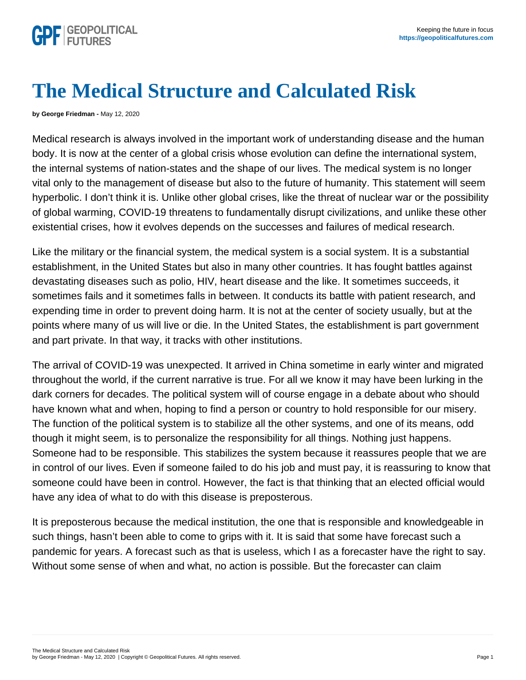## The Medical Structure and Calculated Risk

by George Friedman - May 12, 2020

Medical research is always involved in the important work of understanding disease and the human body. It is now at the center of a global crisis whose evolution can define the international system, the internal systems of nation-states and the shape of our lives. The medical system is no longer vital only to the management of disease but also to the future of humanity. This statement will seem hyperbolic. I don't think it is. Unlike other global crises, like the threat of nuclear war or the possibility of global warming, COVID-19 threatens to fundamentally disrupt civilizations, and unlike these other existential crises, how it evolves depends on the successes and failures of medical research.

Like the military or the financial system, the medical system is a social system. It is a substantial establishment, in the United States but also in many other countries. It has fought battles against devastating diseases such as polio, HIV, heart disease and the like. It sometimes succeeds, it sometimes fails and it sometimes falls in between. It conducts its battle with patient research, and expending time in order to prevent doing harm. It is not at the center of society usually, but at the points where many of us will live or die. In the United States, the establishment is part government and part private. In that way, it tracks with other institutions.

The arrival of COVID-19 was unexpected. It arrived in China sometime in early winter and migrated throughout the world, if the current narrative is true. For all we know it may have been lurking in the dark corners for decades. The political system will of course engage in a debate about who should have known what and when, hoping to find a person or country to hold responsible for our misery. The function of the political system is to stabilize all the other systems, and one of its means, odd though it might seem, is to personalize the responsibility for all things. Nothing just happens. Someone had to be responsible. This stabilizes the system because it reassures people that we are in control of our lives. Even if someone failed to do his job and must pay, it is reassuring to know that someone could have been in control. However, the fact is that thinking that an elected official would have any idea of what to do with this disease is preposterous.

It is preposterous because the medical institution, the one that is responsible and knowledgeable in such things, hasn't been able to come to grips with it. It is said that some have forecast such a pandemic for years. A forecast such as that is useless, which I as a forecaster have the right to say. Without some sense of when and what, no action is possible. But the forecaster can claim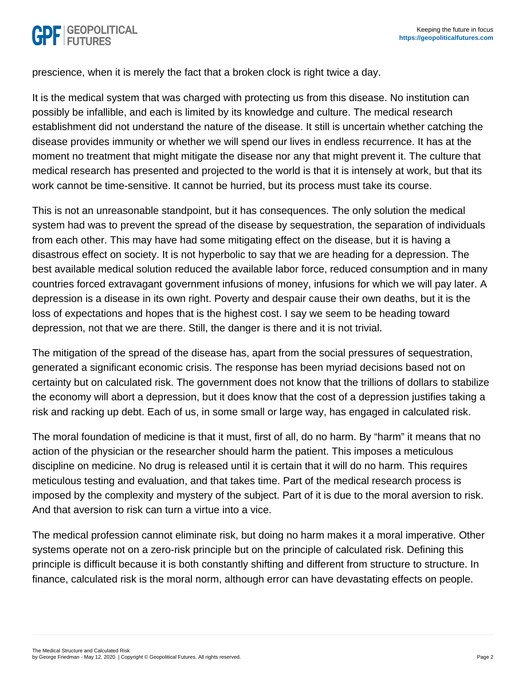prescience, when it is merely the fact that a broken clock is right twice a day.

It is the medical system that was charged with protecting us from this disease. No institution can possibly be infallible, and each is limited by its knowledge and culture. The medical research establishment did not understand the nature of the disease. It still is uncertain whether catching the disease provides immunity or whether we will spend our lives in endless recurrence. It has at the moment no treatment that might mitigate the disease nor any that might prevent it. The culture that medical research has presented and projected to the world is that it is intensely at work, but that its work cannot be time-sensitive. It cannot be hurried, but its process must take its course.

This is not an unreasonable standpoint, but it has consequences. The only solution the medical system had was to prevent the spread of the disease by sequestration, the separation of individuals from each other. This may have had some mitigating effect on the disease, but it is having a disastrous effect on society. It is not hyperbolic to say that we are heading for a depression. The best available medical solution reduced the available labor force, reduced consumption and in many countries forced extravagant government infusions of money, infusions for which we will pay later. A depression is a disease in its own right. Poverty and despair cause their own deaths, but it is the loss of expectations and hopes that is the highest cost. I say we seem to be heading toward depression, not that we are there. Still, the danger is there and it is not trivial.

The mitigation of the spread of the disease has, apart from the social pressures of sequestration, generated a significant economic crisis. The response has been myriad decisions based not on certainty but on calculated risk. The government does not know that the trillions of dollars to stabilize the economy will abort a depression, but it does know that the cost of a depression justifies taking a risk and racking up debt. Each of us, in some small or large way, has engaged in calculated risk.

The moral foundation of medicine is that it must, first of all, do no harm. By "harm" it means that no action of the physician or the researcher should harm the patient. This imposes a meticulous discipline on medicine. No drug is released until it is certain that it will do no harm. This requires meticulous testing and evaluation, and that takes time. Part of the medical research process is imposed by the complexity and mystery of the subject. Part of it is due to the moral aversion to risk. And that aversion to risk can turn a virtue into a vice.

The medical profession cannot eliminate risk, but doing no harm makes it a moral imperative. Other systems operate not on a zero-risk principle but on the principle of calculated risk. Defining this principle is difficult because it is both constantly shifting and different from structure to structure. In finance, calculated risk is the moral norm, although error can have devastating effects on people.